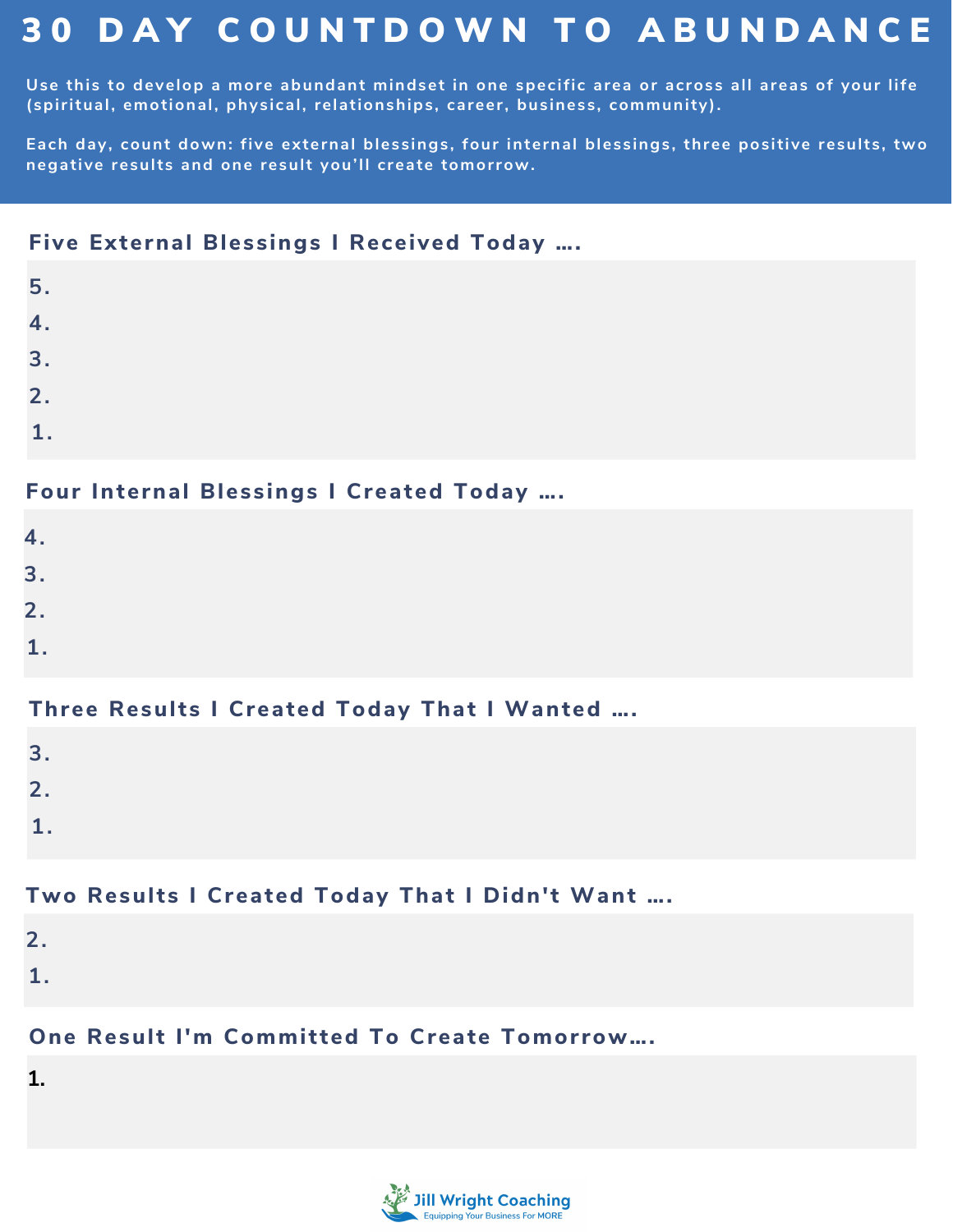# 3 0 D A Y C O U N T D O W N T O A B U N D A N C E

Use this to develop a more abundant mindset in one specific area or across all areas of your life **(spiritual, emotional, physical, relationships, career, business, community).**

**Each day, count down: five external blessings, four internal blessings, three positive results, two negative results and one result you'll create tomorrow.**

#### **Five External Blessings I Received Today ….**

| 5.           |  |  |  |
|--------------|--|--|--|
| 4.           |  |  |  |
| 3.           |  |  |  |
| 2.           |  |  |  |
| $\mathbf{1}$ |  |  |  |

#### **Four Internal Blessings I Created Today ….**

| 4. |  |  |  |  |
|----|--|--|--|--|
|    |  |  |  |  |

- **3.**
- **2.**
- **1.**
- 

### **Three Results I Created Today That I Wanted ….**

- **3.**
- **2.**
- **1.**
- 

# **Two Results I Created Today That I Didn't Want ….**

- **2.**
- **1.**

# **One Result I'm Committed To Create Tomorrow....**

**1.**